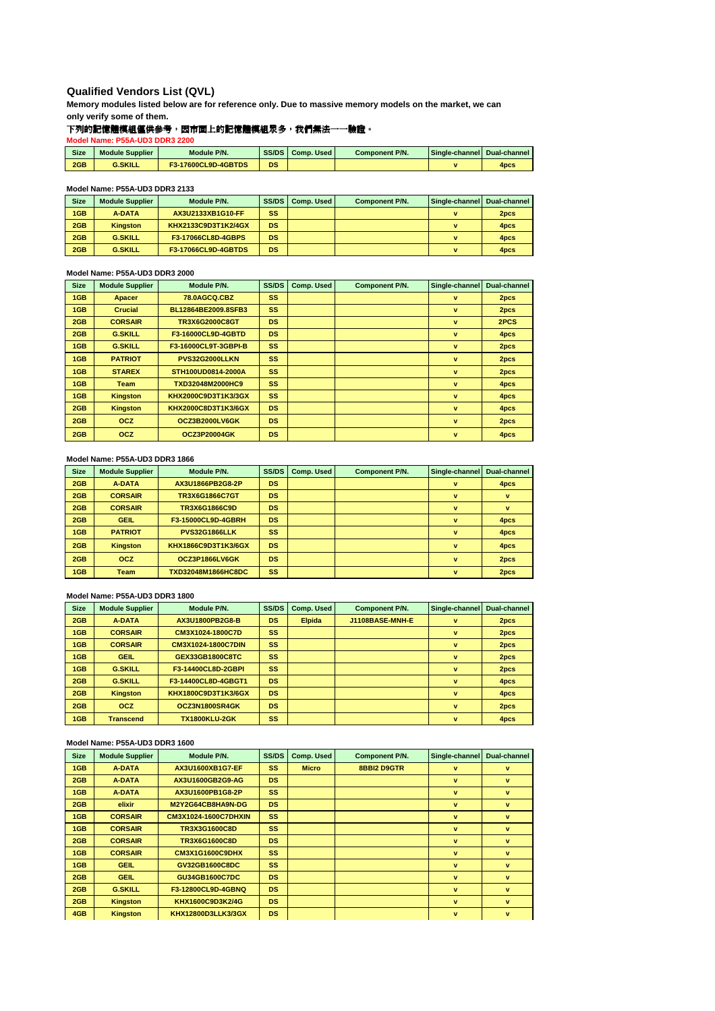# **Qualified Vendors List (QVL)**

**Memory modules listed below are for reference only. Due to massive memory models on the market, we can only verify some of them.**

## 下列的記憶體模組僅供參考,因市面上的記憶體模組眾多,我們無法一一驗證。

**Model Name: P55A-UD3 DDR3 2200**

| <b>Size</b> | <b>Module Supplier</b> | Module P/N.         | <b>SS/DS</b> | Comp. Used | <b>Component P/N.</b> | <b>Single-channel Dual-channel</b> |                  |
|-------------|------------------------|---------------------|--------------|------------|-----------------------|------------------------------------|------------------|
| 2GB         | <b>G.SKILL</b>         | F3-17600CL9D-4GBTDS | <b>DS</b>    |            |                       |                                    | 4 <sub>pcs</sub> |

#### **Model Name: P55A-UD3 DDR3 2133**

| Size | <b>Module Supplier</b> | Module P/N.               |           | SS/DS Comp. Used | <b>Component P/N.</b> | Single-channel Dual-channel |                  |
|------|------------------------|---------------------------|-----------|------------------|-----------------------|-----------------------------|------------------|
| 1GB  | <b>A-DATA</b>          | AX3U2133XB1G10-FF         | SS        |                  |                       |                             | 2 <sub>pcs</sub> |
| 2GB  | <b>Kingston</b>        | KHX2133C9D3T1K2/4GX       | <b>DS</b> |                  |                       |                             | 4 <sub>pcs</sub> |
| 2GB  | <b>G.SKILL</b>         | <b>F3-17066CL8D-4GBPS</b> | <b>DS</b> |                  |                       |                             | 4 <sub>pcs</sub> |
| 2GB  | <b>G.SKILL</b>         | F3-17066CL9D-4GBTDS       | <b>DS</b> |                  |                       |                             | 4 <sub>pcs</sub> |

#### **Model Name: P55A-UD3 DDR3 2000**

| <b>Size</b> | <b>Module Supplier</b> | Module P/N.          | SS/DS     | Comp. Used | <b>Component P/N.</b> | Single-channel | <b>Dual-channel</b> |
|-------------|------------------------|----------------------|-----------|------------|-----------------------|----------------|---------------------|
| 1GB         | <b>Apacer</b>          | <b>78.0AGCQ.CBZ</b>  | SS.       |            |                       | $\mathbf{v}$   | 2pcs                |
| 1GB         | <b>Crucial</b>         | BL12864BE2009.8SFB3  | <b>SS</b> |            |                       | $\mathbf{v}$   | 2pcs                |
| 2GB         | <b>CORSAIR</b>         | TR3X6G2000C8GT       | <b>DS</b> |            |                       | v              | 2PCS                |
| 2GB         | <b>G.SKILL</b>         | F3-16000CL9D-4GBTD   | <b>DS</b> |            |                       | v              | 4pcs                |
| 1GB         | <b>G.SKILL</b>         | F3-16000CL9T-3GBPI-B | SS.       |            |                       | $\mathbf{v}$   | 2pcs                |
| 1GB         | <b>PATRIOT</b>         | PVS32G2000LLKN       | <b>SS</b> |            |                       | $\mathbf{v}$   | 2pcs                |
| 1GB         | <b>STAREX</b>          | STH100UD0814-2000A   | SS.       |            |                       | $\mathbf{v}$   | 2pcs                |
| 1GB         | <b>Team</b>            | TXD32048M2000HC9     | <b>SS</b> |            |                       | $\mathbf{v}$   | 4pcs                |
| 1GB         | <b>Kingston</b>        | KHX2000C9D3T1K3/3GX  | <b>SS</b> |            |                       | v              | 4pcs                |
| 2GB         | <b>Kingston</b>        | KHX2000C8D3T1K3/6GX  | <b>DS</b> |            |                       | v              | 4pcs                |
| 2GB         | <b>OCZ</b>             | OCZ3B2000LV6GK       | <b>DS</b> |            |                       | v              | 2pcs                |
| 2GB         | <b>OCZ</b>             | <b>OCZ3P20004GK</b>  | <b>DS</b> |            |                       | $\mathbf{v}$   | 4pcs                |

#### **Model Name: P55A-UD3 DDR3 1866**

| <b>Size</b> | <b>Module Supplier</b> | Module P/N.          | SS/DS     | Comp. Used | <b>Component P/N.</b> | Single-channel | Dual-channel     |
|-------------|------------------------|----------------------|-----------|------------|-----------------------|----------------|------------------|
| 2GB         | <b>A-DATA</b>          | AX3U1866PB2G8-2P     | <b>DS</b> |            |                       | $\mathbf{v}$   | 4pcs             |
| 2GB         | <b>CORSAIR</b>         | TR3X6G1866C7GT       | <b>DS</b> |            |                       | $\mathbf{v}$   | v                |
| 2GB         | <b>CORSAIR</b>         | TR3X6G1866C9D        | <b>DS</b> |            |                       | $\mathbf{v}$   | v                |
| 2GB         | <b>GEIL</b>            | F3-15000CL9D-4GBRH   | <b>DS</b> |            |                       | $\mathbf{v}$   | 4pcs             |
| 1GB         | <b>PATRIOT</b>         | <b>PVS32G1866LLK</b> | SS        |            |                       | $\mathbf{v}$   | 4pcs             |
| 2GB         | <b>Kingston</b>        | KHX1866C9D3T1K3/6GX  | <b>DS</b> |            |                       | $\mathbf{v}$   | 4pcs             |
| 2GB         | <b>OCZ</b>             | OCZ3P1866LV6GK       | DS        |            |                       | $\mathbf{v}$   | 2pcs             |
| 1GB         | Team                   | TXD32048M1866HC8DC   | SS        |            |                       | $\mathbf{v}$   | 2 <sub>pcs</sub> |

#### **Model Name: P55A-UD3 DDR3 1800**

| <b>Size</b> | <b>Module Supplier</b> | Module P/N.          | SS/DS     | Comp. Used    | <b>Component P/N.</b> | Single-channel | <b>Dual-channel</b> |
|-------------|------------------------|----------------------|-----------|---------------|-----------------------|----------------|---------------------|
| 2GB         | <b>A-DATA</b>          | AX3U1800PB2G8-B      | <b>DS</b> | <b>Elpida</b> | J1108BASE-MNH-E       | v              | 2pcs                |
| 1GB         | <b>CORSAIR</b>         | CM3X1024-1800C7D     | <b>SS</b> |               |                       | v              | 2pcs                |
| 1GB         | <b>CORSAIR</b>         | CM3X1024-1800C7DIN   | <b>SS</b> |               |                       | $\mathbf{v}$   | 2pcs                |
| 1GB         | <b>GEIL</b>            | GEX33GB1800C8TC      | <b>SS</b> |               |                       | $\mathbf{v}$   | 2pcs                |
| 1GB         | <b>G.SKILL</b>         | F3-14400CL8D-2GBPI   | <b>SS</b> |               |                       | $\mathbf{v}$   | 2pcs                |
| 2GB         | <b>G.SKILL</b>         | F3-14400CL8D-4GBGT1  | <b>DS</b> |               |                       | v              | 4pcs                |
| 2GB         | <b>Kingston</b>        | KHX1800C9D3T1K3/6GX  | <b>DS</b> |               |                       | $\mathbf{v}$   | 4pcs                |
| 2GB         | <b>OCZ</b>             | OCZ3N1800SR4GK       | <b>DS</b> |               |                       | $\mathbf{v}$   | 2pcs                |
| 1GB         | <b>Transcend</b>       | <b>TX1800KLU-2GK</b> | SS        |               |                       | $\mathbf{v}$   | 4pcs                |

### **Model Name: P55A-UD3 DDR3 1600**

| <b>Size</b> | <b>Module Supplier</b> | Module P/N.            | SS/DS     | Comp. Used   | <b>Component P/N.</b> | Single-channel | Dual-channel |
|-------------|------------------------|------------------------|-----------|--------------|-----------------------|----------------|--------------|
| 1GB         | <b>A-DATA</b>          | AX3U1600XB1G7-EF       | SS.       | <b>Micro</b> | <b>8BBI2 D9GTR</b>    | v              | $\mathbf{v}$ |
| 2GB         | <b>A-DATA</b>          | AX3U1600GB2G9-AG       | <b>DS</b> |              |                       | $\mathbf{v}$   | $\mathbf{v}$ |
| 1GB         | <b>A-DATA</b>          | AX3U1600PB1G8-2P       | <b>SS</b> |              |                       | $\mathbf{v}$   | v            |
| 2GB         | elixir                 | M2Y2G64CB8HA9N-DG      | <b>DS</b> |              |                       | v              | v            |
| 1GB         | <b>CORSAIR</b>         | CM3X1024-1600C7DHXIN   | <b>SS</b> |              |                       | $\mathbf{v}$   | $\mathbf{v}$ |
| 1GB         | <b>CORSAIR</b>         | TR3X3G1600C8D          | <b>SS</b> |              |                       | $\mathbf{v}$   | $\mathbf{v}$ |
| 2GB         | <b>CORSAIR</b>         | <b>TR3X6G1600C8D</b>   | <b>DS</b> |              |                       | $\mathbf{v}$   | $\mathbf{v}$ |
| 1GB         | <b>CORSAIR</b>         | <b>CM3X1G1600C9DHX</b> | <b>SS</b> |              |                       | $\mathbf{v}$   | $\mathbf{v}$ |
| 1GB         | <b>GEIL</b>            | GV32GB1600C8DC         | <b>SS</b> |              |                       | $\mathbf{v}$   | $\mathbf{v}$ |
| 2GB         | <b>GEIL</b>            | GU34GB1600C7DC         | <b>DS</b> |              |                       | $\mathbf{v}$   | $\mathbf{v}$ |
| 2GB         | <b>G.SKILL</b>         | F3-12800CL9D-4GBNQ     | <b>DS</b> |              |                       | $\mathbf{v}$   | $\mathbf{v}$ |
| 2GB         | <b>Kingston</b>        | KHX1600C9D3K2/4G       | <b>DS</b> |              |                       | $\mathbf{v}$   | $\mathbf{v}$ |
| 4GB         | <b>Kingston</b>        | KHX12800D3LLK3/3GX     | <b>DS</b> |              |                       | $\mathbf{v}$   | $\mathbf{v}$ |